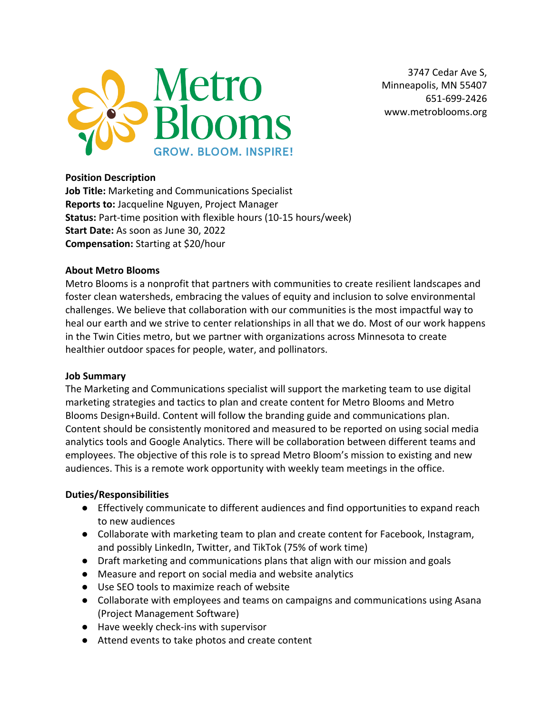

3747 Cedar Ave S, Minneapolis, MN 55407 651-699-2426 www.metroblooms.org

### **Position Description**

**Job Title:** Marketing and Communications Specialist **Reports to:** Jacqueline Nguyen, Project Manager **Status:** Part-time position with flexible hours (10-15 hours/week) **Start Date:** As soon as June 30, 2022 **Compensation:** Starting at \$20/hour

#### **About Metro Blooms**

Metro Blooms is a nonprofit that partners with communities to create resilient landscapes and foster clean watersheds, embracing the values of equity and inclusion to solve environmental challenges. We believe that collaboration with our communities is the most impactful way to heal our earth and we strive to center relationships in all that we do. Most of our work happens in the Twin Cities metro, but we partner with organizations across Minnesota to create healthier outdoor spaces for people, water, and pollinators.

#### **Job Summary**

The Marketing and Communications specialist will support the marketing team to use digital marketing strategies and tactics to plan and create content for Metro Blooms and Metro Blooms Design+Build. Content will follow the branding guide and communications plan. Content should be consistently monitored and measured to be reported on using social media analytics tools and Google Analytics. There will be collaboration between different teams and employees. The objective of this role is to spread Metro Bloom's mission to existing and new audiences. This is a remote work opportunity with weekly team meetings in the office.

#### **Duties/Responsibilities**

- Effectively communicate to different audiences and find opportunities to expand reach to new audiences
- Collaborate with marketing team to plan and create content for Facebook, Instagram, and possibly LinkedIn, Twitter, and TikTok (75% of work time)
- Draft marketing and communications plans that align with our mission and goals
- Measure and report on social media and website analytics
- Use SEO tools to maximize reach of website
- Collaborate with employees and teams on campaigns and communications using Asana (Project Management Software)
- Have weekly check-ins with supervisor
- Attend events to take photos and create content